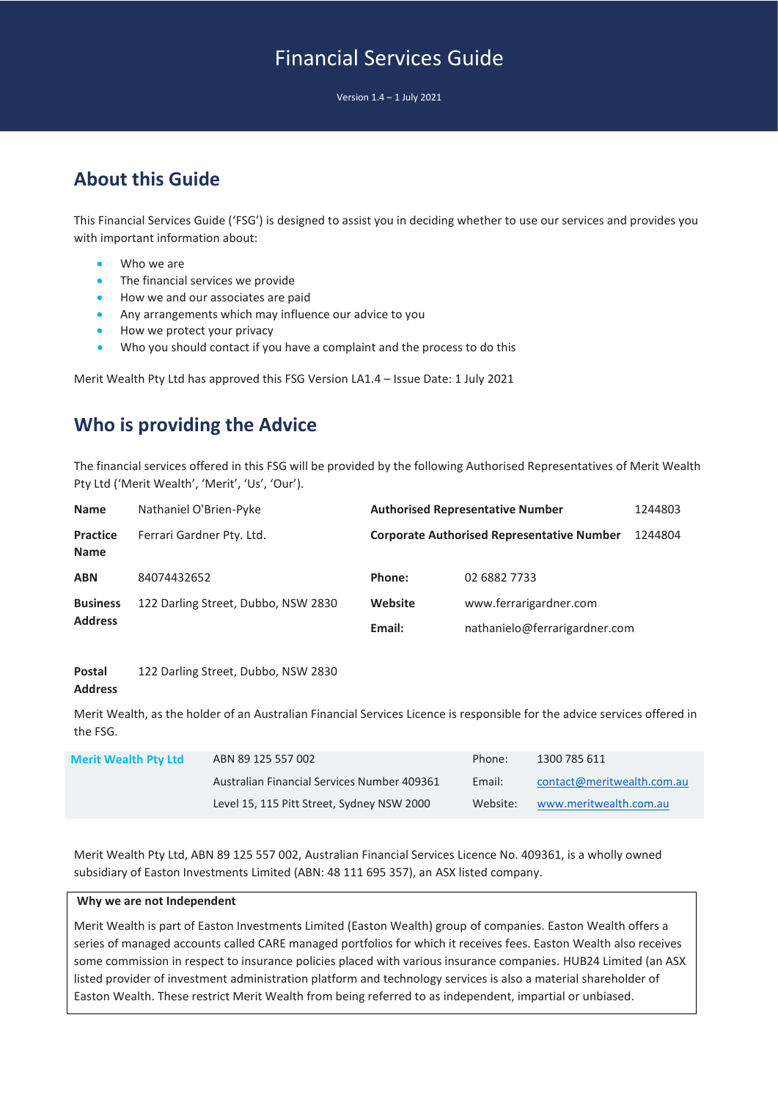# Financial Services Guide

Version 1.4 – 1 July 2021

## **About this Guide**

This Financial Services Guide ('FSG') is designed to assist you in deciding whether to use our services and provides you with important information about:

- Who we are
- The financial services we provide
- How we and our associates are paid
- Any arrangements which may influence our advice to you
- How we protect your privacy
- Who you should contact if you have a complaint and the process to do this

Merit Wealth Pty Ltd has approved this FSG Version LA1.4 – Issue Date: 1 July 2021

### **Who is providing the Advice**

The financial services offered in this FSG will be provided by the following Authorised Representatives of Merit Wealth Pty Ltd ('Merit Wealth', 'Merit', 'Us', 'Our').

| <b>Name</b>                       | Nathaniel O'Brien-Pyke              |         | <b>Authorised Representative Number</b>           | 1244803 |
|-----------------------------------|-------------------------------------|---------|---------------------------------------------------|---------|
| <b>Practice</b><br><b>Name</b>    | Ferrari Gardner Pty. Ltd.           |         | <b>Corporate Authorised Representative Number</b> | 1244804 |
| <b>ABN</b>                        | 84074432652                         | Phone:  | 02 6882 7733                                      |         |
| <b>Business</b><br><b>Address</b> | 122 Darling Street, Dubbo, NSW 2830 | Website | www.ferrarigardner.com                            |         |
|                                   |                                     | Email:  | nathanielo@ferrarigardner.com                     |         |

#### **Postal Address** 122 Darling Street, Dubbo, NSW 2830

Merit Wealth, as the holder of an Australian Financial Services Licence is responsible for the advice services offered in the FSG.

| <b>Merit Wealth Pty Ltd</b> | ABN 89 125 557 002                          | Phone:   | 1300 785 611               |
|-----------------------------|---------------------------------------------|----------|----------------------------|
|                             | Australian Financial Services Number 409361 | Email:   | contact@meritwealth.com.au |
|                             | Level 15, 115 Pitt Street, Sydney NSW 2000  | Website: | www.meritwealth.com.au     |

Merit Wealth Pty Ltd, ABN 89 125 557 002, Australian Financial Services Licence No. 409361, is a wholly owned subsidiary of Easton Investments Limited (ABN: 48 111 695 357), an ASX listed company.

#### **Why we are not Independent**

Merit Wealth is part of Easton Investments Limited (Easton Wealth) group of companies. Easton Wealth offers a series of managed accounts called CARE managed portfolios for which it receives fees. Easton Wealth also receives some commission in respect to insurance policies placed with various insurance companies. HUB24 Limited (an ASX listed provider of investment administration platform and technology services is also a material shareholder of Easton Wealth. These restrict Merit Wealth from being referred to as independent, impartial or unbiased.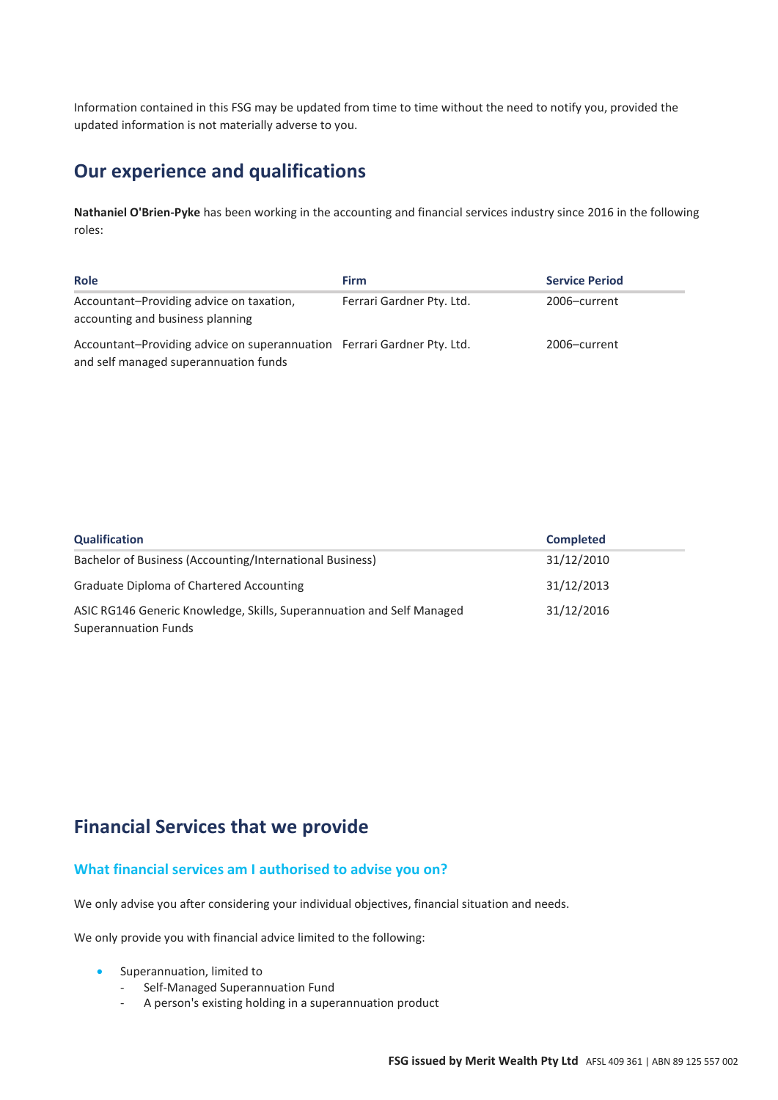Information contained in this FSG may be updated from time to time without the need to notify you, provided the updated information is not materially adverse to you.

### **Our experience and qualifications**

**Nathaniel O'Brien-Pyke** has been working in the accounting and financial services industry since 2016 in the following roles:

| <b>Role</b>                                                                                                      | Firm                      | <b>Service Period</b> |
|------------------------------------------------------------------------------------------------------------------|---------------------------|-----------------------|
| Accountant-Providing advice on taxation,<br>accounting and business planning                                     | Ferrari Gardner Pty. Ltd. | 2006-current          |
| Accountant-Providing advice on superannuation Ferrari Gardner Pty. Ltd.<br>and self managed superannuation funds |                           | 2006-current          |

| Qualification                                                         | <b>Completed</b> |
|-----------------------------------------------------------------------|------------------|
| Bachelor of Business (Accounting/International Business)              | 31/12/2010       |
| Graduate Diploma of Chartered Accounting                              | 31/12/2013       |
| ASIC RG146 Generic Knowledge, Skills, Superannuation and Self Managed | 31/12/2016       |
| Superannuation Funds                                                  |                  |

### **Financial Services that we provide**

#### **What financial services am I authorised to advise you on?**

We only advise you after considering your individual objectives, financial situation and needs.

We only provide you with financial advice limited to the following:

- Superannuation, limited to
	- Self-Managed Superannuation Fund
	- A person's existing holding in a superannuation product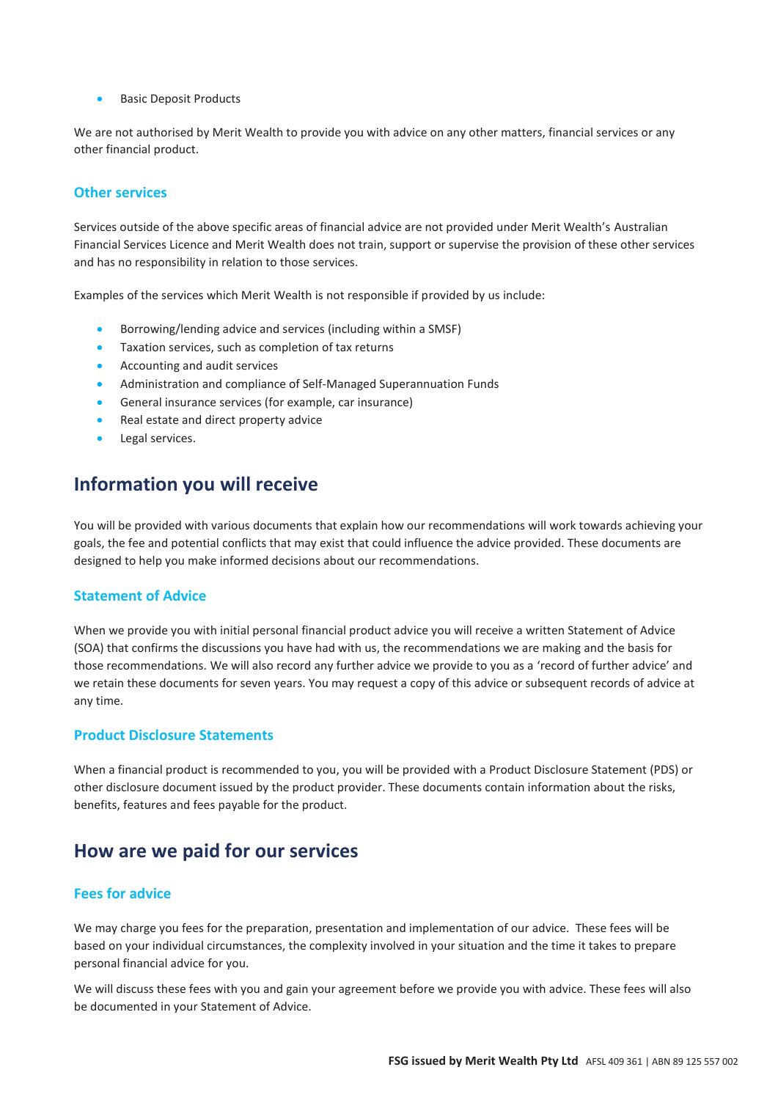• Basic Deposit Products

We are not authorised by Merit Wealth to provide you with advice on any other matters, financial services or any other financial product.

#### **Other services**

Services outside of the above specific areas of financial advice are not provided under Merit Wealth's Australian Financial Services Licence and Merit Wealth does not train, support or supervise the provision of these other services and has no responsibility in relation to those services.

Examples of the services which Merit Wealth is not responsible if provided by us include:

- Borrowing/lending advice and services (including within a SMSF)
- Taxation services, such as completion of tax returns
- Accounting and audit services
- Administration and compliance of Self-Managed Superannuation Funds
- General insurance services (for example, car insurance)
- Real estate and direct property advice
- Legal services.

### **Information you will receive**

You will be provided with various documents that explain how our recommendations will work towards achieving your goals, the fee and potential conflicts that may exist that could influence the advice provided. These documents are designed to help you make informed decisions about our recommendations.

#### **Statement of Advice**

When we provide you with initial personal financial product advice you will receive a written Statement of Advice (SOA) that confirms the discussions you have had with us, the recommendations we are making and the basis for those recommendations. We will also record any further advice we provide to you as a 'record of further advice' and we retain these documents for seven years. You may request a copy of this advice or subsequent records of advice at any time.

### **Product Disclosure Statements**

When a financial product is recommended to you, you will be provided with a Product Disclosure Statement (PDS) or other disclosure document issued by the product provider. These documents contain information about the risks, benefits, features and fees payable for the product.

### **How are we paid for our services**

#### **Fees for advice**

We may charge you fees for the preparation, presentation and implementation of our advice. These fees will be based on your individual circumstances, the complexity involved in your situation and the time it takes to prepare personal financial advice for you.

We will discuss these fees with you and gain your agreement before we provide you with advice. These fees will also be documented in your Statement of Advice.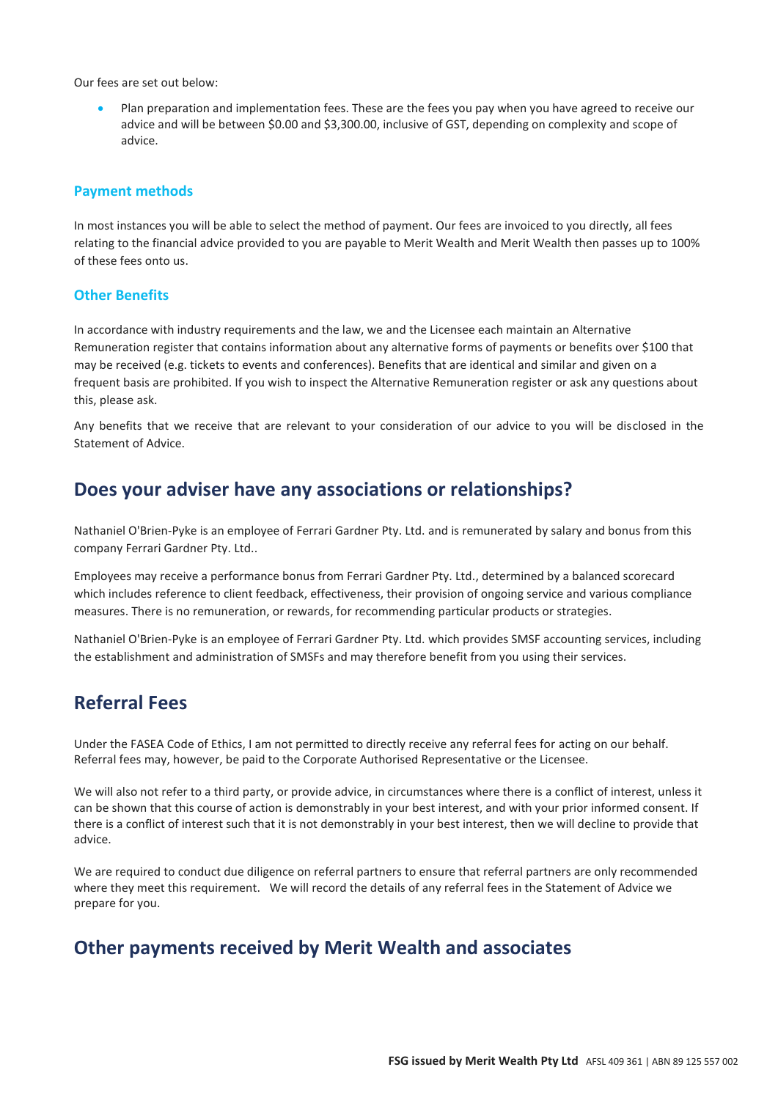Our fees are set out below:

• Plan preparation and implementation fees. These are the fees you pay when you have agreed to receive our advice and will be between \$0.00 and \$3,300.00, inclusive of GST, depending on complexity and scope of advice.

#### **Payment methods**

In most instances you will be able to select the method of payment. Our fees are invoiced to you directly, all fees relating to the financial advice provided to you are payable to Merit Wealth and Merit Wealth then passes up to 100% of these fees onto us.

#### **Other Benefits**

In accordance with industry requirements and the law, we and the Licensee each maintain an Alternative Remuneration register that contains information about any alternative forms of payments or benefits over \$100 that may be received (e.g. tickets to events and conferences). Benefits that are identical and similar and given on a frequent basis are prohibited. If you wish to inspect the Alternative Remuneration register or ask any questions about this, please ask.

Any benefits that we receive that are relevant to your consideration of our advice to you will be disclosed in the Statement of Advice.

### **Does your adviser have any associations or relationships?**

Nathaniel O'Brien-Pyke is an employee of Ferrari Gardner Pty. Ltd. and is remunerated by salary and bonus from this company Ferrari Gardner Pty. Ltd..

Employees may receive a performance bonus from Ferrari Gardner Pty. Ltd., determined by a balanced scorecard which includes reference to client feedback, effectiveness, their provision of ongoing service and various compliance measures. There is no remuneration, or rewards, for recommending particular products or strategies.

Nathaniel O'Brien-Pyke is an employee of Ferrari Gardner Pty. Ltd. which provides SMSF accounting services, including the establishment and administration of SMSFs and may therefore benefit from you using their services.

### **Referral Fees**

Under the FASEA Code of Ethics, I am not permitted to directly receive any referral fees for acting on our behalf. Referral fees may, however, be paid to the Corporate Authorised Representative or the Licensee.

We will also not refer to a third party, or provide advice, in circumstances where there is a conflict of interest, unless it can be shown that this course of action is demonstrably in your best interest, and with your prior informed consent. If there is a conflict of interest such that it is not demonstrably in your best interest, then we will decline to provide that advice.

We are required to conduct due diligence on referral partners to ensure that referral partners are only recommended where they meet this requirement. We will record the details of any referral fees in the Statement of Advice we prepare for you.

### **Other payments received by Merit Wealth and associates**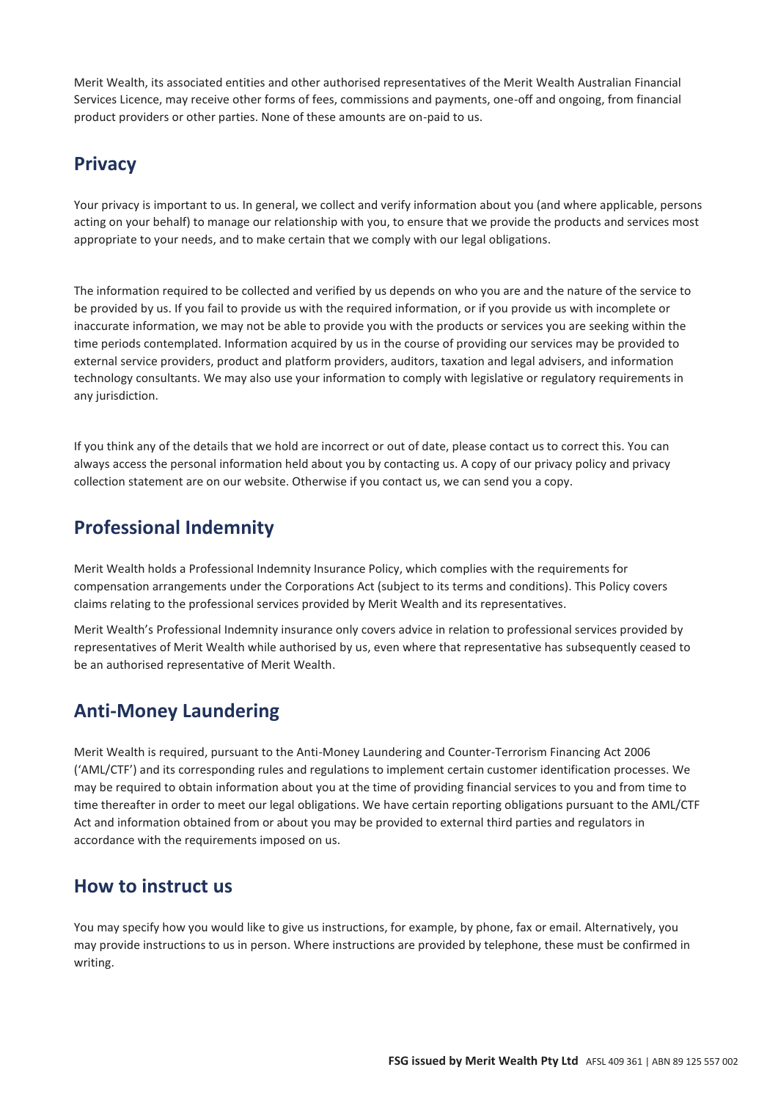Merit Wealth, its associated entities and other authorised representatives of the Merit Wealth Australian Financial Services Licence, may receive other forms of fees, commissions and payments, one-off and ongoing, from financial product providers or other parties. None of these amounts are on-paid to us.

## **Privacy**

Your privacy is important to us. In general, we collect and verify information about you (and where applicable, persons acting on your behalf) to manage our relationship with you, to ensure that we provide the products and services most appropriate to your needs, and to make certain that we comply with our legal obligations.

The information required to be collected and verified by us depends on who you are and the nature of the service to be provided by us. If you fail to provide us with the required information, or if you provide us with incomplete or inaccurate information, we may not be able to provide you with the products or services you are seeking within the time periods contemplated. Information acquired by us in the course of providing our services may be provided to external service providers, product and platform providers, auditors, taxation and legal advisers, and information technology consultants. We may also use your information to comply with legislative or regulatory requirements in any jurisdiction.

If you think any of the details that we hold are incorrect or out of date, please contact us to correct this. You can always access the personal information held about you by contacting us. A copy of our privacy policy and privacy collection statement are on our website. Otherwise if you contact us, we can send you a copy.

## **Professional Indemnity**

Merit Wealth holds a Professional Indemnity Insurance Policy, which complies with the requirements for compensation arrangements under the Corporations Act (subject to its terms and conditions). This Policy covers claims relating to the professional services provided by Merit Wealth and its representatives.

Merit Wealth's Professional Indemnity insurance only covers advice in relation to professional services provided by representatives of Merit Wealth while authorised by us, even where that representative has subsequently ceased to be an authorised representative of Merit Wealth.

## **Anti-Money Laundering**

Merit Wealth is required, pursuant to the Anti-Money Laundering and Counter-Terrorism Financing Act 2006 ('AML/CTF') and its corresponding rules and regulations to implement certain customer identification processes. We may be required to obtain information about you at the time of providing financial services to you and from time to time thereafter in order to meet our legal obligations. We have certain reporting obligations pursuant to the AML/CTF Act and information obtained from or about you may be provided to external third parties and regulators in accordance with the requirements imposed on us.

### **How to instruct us**

You may specify how you would like to give us instructions, for example, by phone, fax or email. Alternatively, you may provide instructions to us in person. Where instructions are provided by telephone, these must be confirmed in writing.